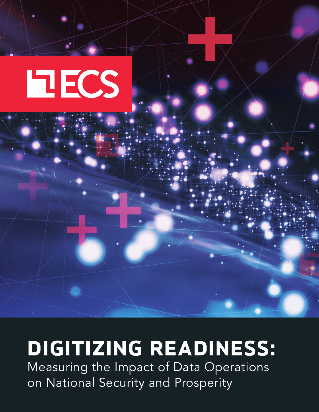

# **DIGITIZING READINESS:**

Measuring the Impact of Data Operations on National Security and Prosperity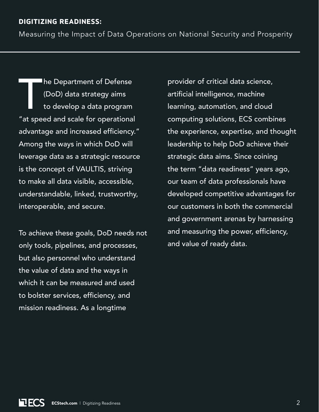### **DIGITIZING READINESS:**

Measuring the Impact of Data Operations on National Security and Prosperity

**Ihe Department of Defense** (DoD) data strategy aims to develop a data program "at speed and scale for operational advantage and increased efficiency." Among the ways in which DoD will leverage data as a strategic resource is the concept of VAULTIS, striving to make all data visible, accessible, understandable, linked, trustworthy, interoperable, and secure.

To achieve these goals, DoD needs not only tools, pipelines, and processes, but also personnel who understand the value of data and the ways in which it can be measured and used to bolster services, efficiency, and mission readiness. As a longtime

provider of critical data science, artificial intelligence, machine learning, automation, and cloud computing solutions, ECS combines the experience, expertise, and thought leadership to help DoD achieve their strategic data aims. Since coining the term "data readiness" years ago, our team of data professionals have developed competitive advantages for our customers in both the commercial and government arenas by harnessing and measuring the power, efficiency, and value of ready data.

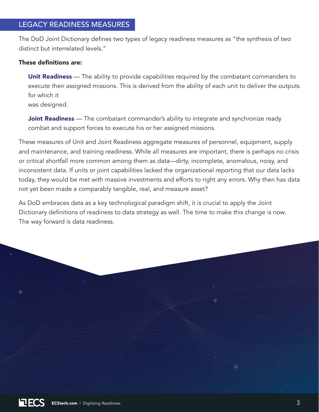The DoD Joint Dictionary defines two types of legacy readiness measures as "the synthesis of two distinct but interrelated levels."

#### These definitions are:

**Unit Readiness** — The ability to provide capabilities required by the combatant commanders to execute their assigned missions. This is derived from the ability of each unit to deliver the outputs for which it was designed.

**Joint Readiness** — The combatant commander's ability to integrate and synchronize ready combat and support forces to execute his or her assigned missions.

These measures of Unit and Joint Readiness aggregate measures of personnel, equipment, supply and maintenance, and training readiness. While all measures are important, there is perhaps no crisis or critical shortfall more common among them as data—dirty, incomplete, anomalous, noisy, and inconsistent data. If units or joint capabilities lacked the organizational reporting that our data lacks today, they would be met with massive investments and efforts to right any errors. Why then has data not yet been made a comparably tangible, real, and measure asset?

As DoD embraces data as a key technological paradigm shift, it is crucial to apply the Joint Dictionary definitions of readiness to data strategy as well. The time to make this change is now. The way forward is data readiness.

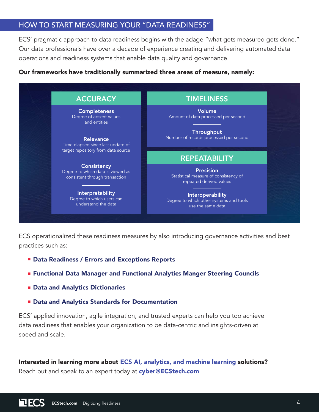### HOW TO START MEASURING YOUR "DATA READINESS"

ECS' pragmatic approach to data readiness begins with the adage "what gets measured gets done." Our data professionals have over a decade of experience creating and delivering automated data operations and readiness systems that enable data quality and governance.

#### Our frameworks have traditionally summarized three areas of measure, namely:



ECS operationalized these readiness measures by also introducing governance activities and best practices such as:

- **EXECTE PATE: Data Readiness / Errors and Exceptions Reports**
- **Example 2 Functional Data Manager and Functional Analytics Manger Steering Councils**
- **EData and Analytics Dictionaries**
- **E** Data and Analytics Standards for Documentation

ECS' applied innovation, agile integration, and trusted experts can help you too achieve data readiness that enables your organization to be data-centric and insights-driven at speed and scale.

Interested in learning more about [ECS AI, analytics, and machine learning](https://ecstech.com/solutions/machine-learning/) solutions? Reach out and speak to an expert today at [cyber@ECStech.com](mailto:cyber%40ecstech.com?subject=)